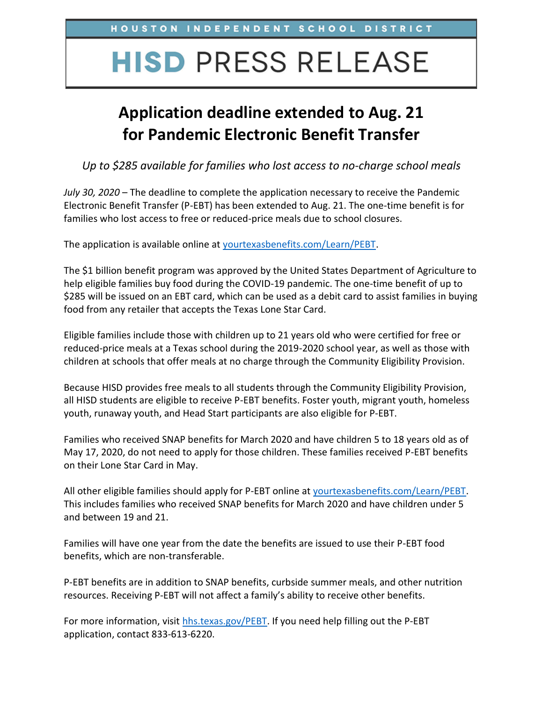## **HISD PRESS RELEASE**

## **Application deadline extended to Aug. 21 for Pandemic Electronic Benefit Transfer**

*Up to \$285 available for families who lost access to no-charge school meals*

*July 30, 2020* – The deadline to complete the application necessary to receive the Pandemic Electronic Benefit Transfer (P-EBT) has been extended to Aug. 21. The one-time benefit is for families who lost access to free or reduced-price meals due to school closures.

The application is available online at [yourtexasbenefits.com/Learn/PEBT.](https://yourtexasbenefits.com/Learn/PEBT)

The \$1 billion benefit program was approved by the United States Department of Agriculture to help eligible families buy food during the COVID-19 pandemic. The one-time benefit of up to \$285 will be issued on an EBT card, which can be used as a debit card to assist families in buying food from any retailer that accepts the Texas Lone Star Card.

Eligible families include those with children up to 21 years old who were certified for free or reduced-price meals at a Texas school during the 2019-2020 school year, as well as those with children at schools that offer meals at no charge through the Community Eligibility Provision.

Because HISD provides free meals to all students through the Community Eligibility Provision, all HISD students are eligible to receive P-EBT benefits. Foster youth, migrant youth, homeless youth, runaway youth, and Head Start participants are also eligible for P-EBT.

Families who received SNAP benefits for March 2020 and have children 5 to 18 years old as of May 17, 2020, do not need to apply for those children. These families received P-EBT benefits on their Lone Star Card in May.

All other eligible families should apply for P-EBT online at [yourtexasbenefits.com/Learn/PEBT.](https://yourtexasbenefits.com/Learn/PEBT) This includes families who received SNAP benefits for March 2020 and have children under 5 and between 19 and 21.

Families will have one year from the date the benefits are issued to use their P-EBT food benefits, which are non-transferable.

P-EBT benefits are in addition to SNAP benefits, curbside summer meals, and other nutrition resources. Receiving P-EBT will not affect a family's ability to receive other benefits.

For more information, visit [hhs.texas.gov/PEBT.](https://hhs.texas.gov/services/health/coronavirus-covid-19/coronavirus-covid-19-information-texans/pandemic-ebt-p-ebt-due-covid-19) If you need help filling out the P-EBT application, contact 833-613-6220.